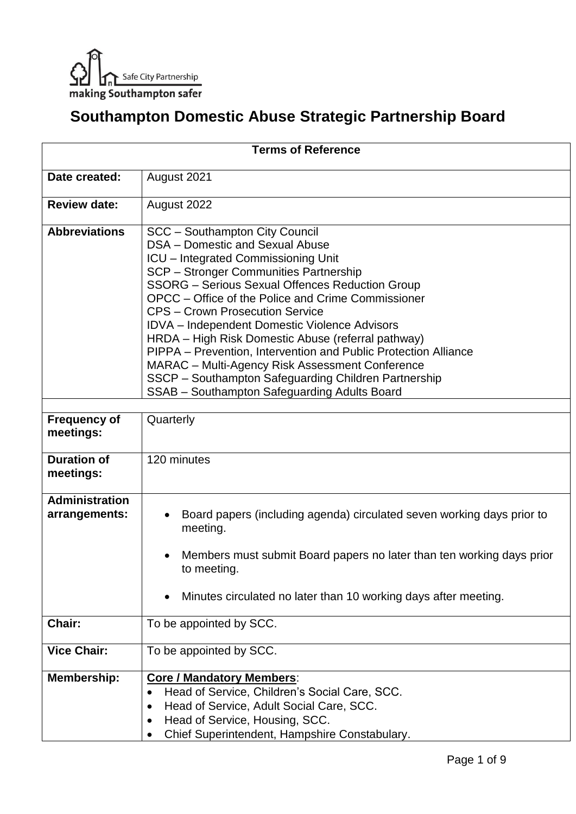

## **Southampton Domestic Abuse Strategic Partnership Board**

| <b>Terms of Reference</b>              |                                                                                                                                                                                                                                                                                                                                                                                                                                                                                                                                                                                                                                                                        |
|----------------------------------------|------------------------------------------------------------------------------------------------------------------------------------------------------------------------------------------------------------------------------------------------------------------------------------------------------------------------------------------------------------------------------------------------------------------------------------------------------------------------------------------------------------------------------------------------------------------------------------------------------------------------------------------------------------------------|
| Date created:                          | August 2021                                                                                                                                                                                                                                                                                                                                                                                                                                                                                                                                                                                                                                                            |
| <b>Review date:</b>                    | August 2022                                                                                                                                                                                                                                                                                                                                                                                                                                                                                                                                                                                                                                                            |
| <b>Abbreviations</b>                   | <b>SCC</b> - Southampton City Council<br>DSA - Domestic and Sexual Abuse<br><b>ICU</b> – Integrated Commissioning Unit<br>SCP - Stronger Communities Partnership<br><b>SSORG - Serious Sexual Offences Reduction Group</b><br>OPCC – Office of the Police and Crime Commissioner<br><b>CPS - Crown Prosecution Service</b><br><b>IDVA</b> - Independent Domestic Violence Advisors<br>HRDA – High Risk Domestic Abuse (referral pathway)<br>PIPPA - Prevention, Intervention and Public Protection Alliance<br>MARAC - Multi-Agency Risk Assessment Conference<br>SSCP - Southampton Safeguarding Children Partnership<br>SSAB - Southampton Safeguarding Adults Board |
| <b>Frequency of</b><br>meetings:       | Quarterly                                                                                                                                                                                                                                                                                                                                                                                                                                                                                                                                                                                                                                                              |
| <b>Duration of</b><br>meetings:        | 120 minutes                                                                                                                                                                                                                                                                                                                                                                                                                                                                                                                                                                                                                                                            |
| <b>Administration</b><br>arrangements: | Board papers (including agenda) circulated seven working days prior to<br>meeting.<br>Members must submit Board papers no later than ten working days prior<br>to meeting.<br>Minutes circulated no later than 10 working days after meeting.                                                                                                                                                                                                                                                                                                                                                                                                                          |
| Chair:                                 | To be appointed by SCC.                                                                                                                                                                                                                                                                                                                                                                                                                                                                                                                                                                                                                                                |
| <b>Vice Chair:</b>                     | To be appointed by SCC.                                                                                                                                                                                                                                                                                                                                                                                                                                                                                                                                                                                                                                                |
| Membership:                            | <b>Core / Mandatory Members:</b><br>Head of Service, Children's Social Care, SCC.<br>$\bullet$<br>Head of Service, Adult Social Care, SCC.<br>Head of Service, Housing, SCC.<br>Chief Superintendent, Hampshire Constabulary.                                                                                                                                                                                                                                                                                                                                                                                                                                          |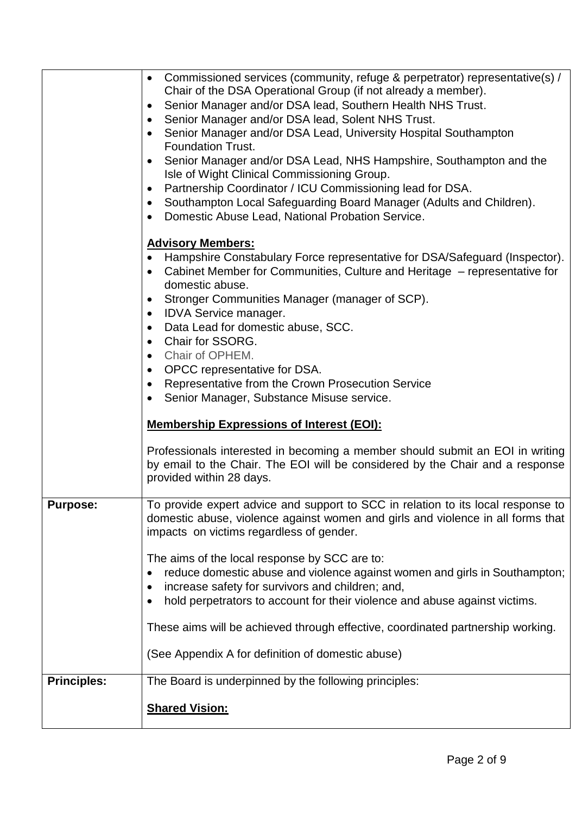|                    | Commissioned services (community, refuge & perpetrator) representative(s) /<br>$\bullet$<br>Chair of the DSA Operational Group (if not already a member).<br>Senior Manager and/or DSA lead, Southern Health NHS Trust.<br>$\bullet$<br>Senior Manager and/or DSA lead, Solent NHS Trust.<br>$\bullet$<br>Senior Manager and/or DSA Lead, University Hospital Southampton<br>$\bullet$<br><b>Foundation Trust.</b><br>Senior Manager and/or DSA Lead, NHS Hampshire, Southampton and the<br>Isle of Wight Clinical Commissioning Group.<br>Partnership Coordinator / ICU Commissioning lead for DSA.<br>Southampton Local Safeguarding Board Manager (Adults and Children).<br>$\bullet$<br>Domestic Abuse Lead, National Probation Service.<br><b>Advisory Members:</b><br>Hampshire Constabulary Force representative for DSA/Safeguard (Inspector).<br>Cabinet Member for Communities, Culture and Heritage - representative for<br>domestic abuse.<br>Stronger Communities Manager (manager of SCP).<br><b>IDVA Service manager.</b><br>$\bullet$<br>Data Lead for domestic abuse, SCC.<br>$\bullet$<br>Chair for SSORG.<br>$\bullet$<br>Chair of OPHEM.<br>$\bullet$<br>OPCC representative for DSA.<br>$\bullet$<br>Representative from the Crown Prosecution Service<br>$\bullet$<br>Senior Manager, Substance Misuse service.<br><b>Membership Expressions of Interest (EOI):</b> |
|--------------------|-------------------------------------------------------------------------------------------------------------------------------------------------------------------------------------------------------------------------------------------------------------------------------------------------------------------------------------------------------------------------------------------------------------------------------------------------------------------------------------------------------------------------------------------------------------------------------------------------------------------------------------------------------------------------------------------------------------------------------------------------------------------------------------------------------------------------------------------------------------------------------------------------------------------------------------------------------------------------------------------------------------------------------------------------------------------------------------------------------------------------------------------------------------------------------------------------------------------------------------------------------------------------------------------------------------------------------------------------------------------------------------------|
|                    | Professionals interested in becoming a member should submit an EOI in writing<br>by email to the Chair. The EOI will be considered by the Chair and a response<br>provided within 28 days.                                                                                                                                                                                                                                                                                                                                                                                                                                                                                                                                                                                                                                                                                                                                                                                                                                                                                                                                                                                                                                                                                                                                                                                                |
| <b>Purpose:</b>    | To provide expert advice and support to SCC in relation to its local response to<br>domestic abuse, violence against women and girls and violence in all forms that<br>impacts on victims regardless of gender.                                                                                                                                                                                                                                                                                                                                                                                                                                                                                                                                                                                                                                                                                                                                                                                                                                                                                                                                                                                                                                                                                                                                                                           |
|                    | The aims of the local response by SCC are to:<br>reduce domestic abuse and violence against women and girls in Southampton;<br>increase safety for survivors and children; and,<br>hold perpetrators to account for their violence and abuse against victims.                                                                                                                                                                                                                                                                                                                                                                                                                                                                                                                                                                                                                                                                                                                                                                                                                                                                                                                                                                                                                                                                                                                             |
|                    | These aims will be achieved through effective, coordinated partnership working.<br>(See Appendix A for definition of domestic abuse)                                                                                                                                                                                                                                                                                                                                                                                                                                                                                                                                                                                                                                                                                                                                                                                                                                                                                                                                                                                                                                                                                                                                                                                                                                                      |
| <b>Principles:</b> | The Board is underpinned by the following principles:                                                                                                                                                                                                                                                                                                                                                                                                                                                                                                                                                                                                                                                                                                                                                                                                                                                                                                                                                                                                                                                                                                                                                                                                                                                                                                                                     |
|                    | <b>Shared Vision:</b>                                                                                                                                                                                                                                                                                                                                                                                                                                                                                                                                                                                                                                                                                                                                                                                                                                                                                                                                                                                                                                                                                                                                                                                                                                                                                                                                                                     |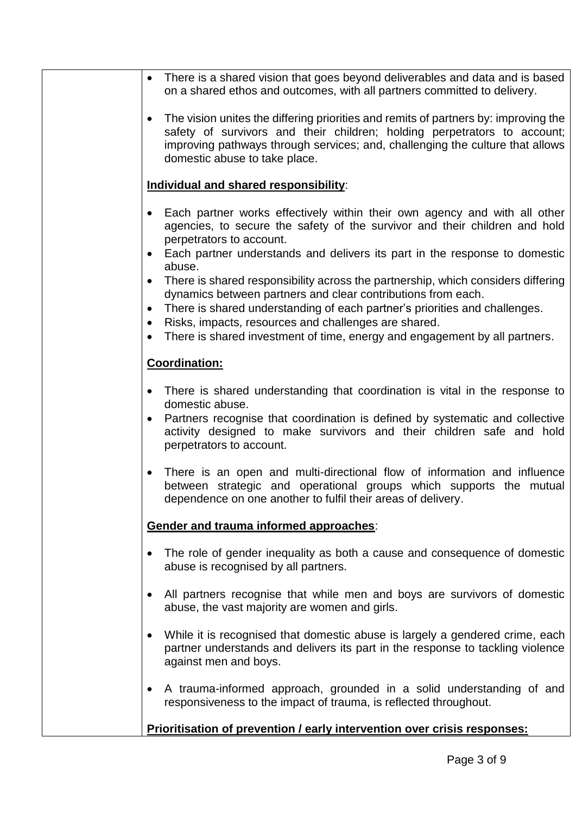| There is a shared vision that goes beyond deliverables and data and is based<br>on a shared ethos and outcomes, with all partners committed to delivery.                                                                                                                                                                                                             |
|----------------------------------------------------------------------------------------------------------------------------------------------------------------------------------------------------------------------------------------------------------------------------------------------------------------------------------------------------------------------|
|                                                                                                                                                                                                                                                                                                                                                                      |
| The vision unites the differing priorities and remits of partners by: improving the<br>safety of survivors and their children; holding perpetrators to account;<br>improving pathways through services; and, challenging the culture that allows<br>domestic abuse to take place.                                                                                    |
| Individual and shared responsibility:                                                                                                                                                                                                                                                                                                                                |
| Each partner works effectively within their own agency and with all other<br>agencies, to secure the safety of the survivor and their children and hold<br>perpetrators to account.                                                                                                                                                                                  |
| Each partner understands and delivers its part in the response to domestic<br>abuse.                                                                                                                                                                                                                                                                                 |
| There is shared responsibility across the partnership, which considers differing<br>dynamics between partners and clear contributions from each.<br>There is shared understanding of each partner's priorities and challenges.<br>Risks, impacts, resources and challenges are shared.<br>There is shared investment of time, energy and engagement by all partners. |
| <b>Coordination:</b>                                                                                                                                                                                                                                                                                                                                                 |
| There is shared understanding that coordination is vital in the response to<br>domestic abuse.<br>Partners recognise that coordination is defined by systematic and collective<br>activity designed to make survivors and their children safe and hold<br>perpetrators to account.                                                                                   |
| There is an open and multi-directional flow of information and influence<br>between strategic and operational groups which supports the mutual<br>dependence on one another to fulfil their areas of delivery.                                                                                                                                                       |
| Gender and trauma informed approaches:                                                                                                                                                                                                                                                                                                                               |
| The role of gender inequality as both a cause and consequence of domestic<br>abuse is recognised by all partners.                                                                                                                                                                                                                                                    |
| All partners recognise that while men and boys are survivors of domestic<br>abuse, the vast majority are women and girls.                                                                                                                                                                                                                                            |
| While it is recognised that domestic abuse is largely a gendered crime, each<br>partner understands and delivers its part in the response to tackling violence<br>against men and boys.                                                                                                                                                                              |
| A trauma-informed approach, grounded in a solid understanding of and<br>responsiveness to the impact of trauma, is reflected throughout.                                                                                                                                                                                                                             |
| Prioritisation of prevention / early intervention over crisis responses:                                                                                                                                                                                                                                                                                             |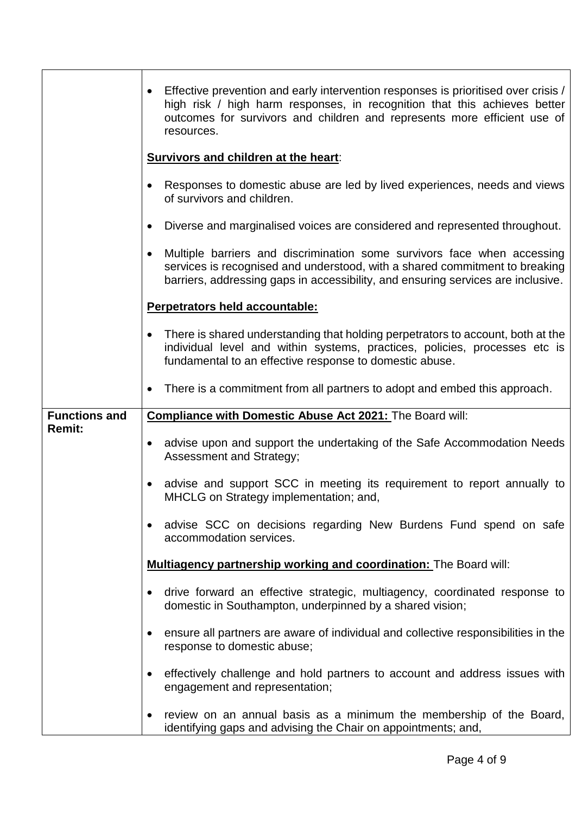|                      | Effective prevention and early intervention responses is prioritised over crisis /<br>high risk / high harm responses, in recognition that this achieves better<br>outcomes for survivors and children and represents more efficient use of<br>resources. |
|----------------------|-----------------------------------------------------------------------------------------------------------------------------------------------------------------------------------------------------------------------------------------------------------|
|                      | <b>Survivors and children at the heart:</b>                                                                                                                                                                                                               |
|                      | Responses to domestic abuse are led by lived experiences, needs and views<br>of survivors and children.                                                                                                                                                   |
|                      | Diverse and marginalised voices are considered and represented throughout.<br>$\bullet$                                                                                                                                                                   |
|                      | Multiple barriers and discrimination some survivors face when accessing<br>services is recognised and understood, with a shared commitment to breaking<br>barriers, addressing gaps in accessibility, and ensuring services are inclusive.                |
|                      | Perpetrators held accountable:                                                                                                                                                                                                                            |
|                      | There is shared understanding that holding perpetrators to account, both at the<br>individual level and within systems, practices, policies, processes etc is<br>fundamental to an effective response to domestic abuse.                                  |
|                      | There is a commitment from all partners to adopt and embed this approach.                                                                                                                                                                                 |
| <b>Functions and</b> | Compliance with Domestic Abuse Act 2021: The Board will:                                                                                                                                                                                                  |
| <b>Remit:</b>        | advise upon and support the undertaking of the Safe Accommodation Needs<br>$\bullet$<br>Assessment and Strategy;                                                                                                                                          |
|                      | advise and support SCC in meeting its requirement to report annually to<br>$\bullet$<br>MHCLG on Strategy implementation; and,                                                                                                                            |
|                      | advise SCC on decisions regarding New Burdens Fund spend on safe<br>accommodation services.                                                                                                                                                               |
|                      | Multiagency partnership working and coordination: The Board will:                                                                                                                                                                                         |
|                      | drive forward an effective strategic, multiagency, coordinated response to<br>domestic in Southampton, underpinned by a shared vision;                                                                                                                    |
|                      | ensure all partners are aware of individual and collective responsibilities in the<br>response to domestic abuse;                                                                                                                                         |
|                      | effectively challenge and hold partners to account and address issues with<br>engagement and representation;                                                                                                                                              |
|                      | review on an annual basis as a minimum the membership of the Board,<br>$\bullet$<br>identifying gaps and advising the Chair on appointments; and,                                                                                                         |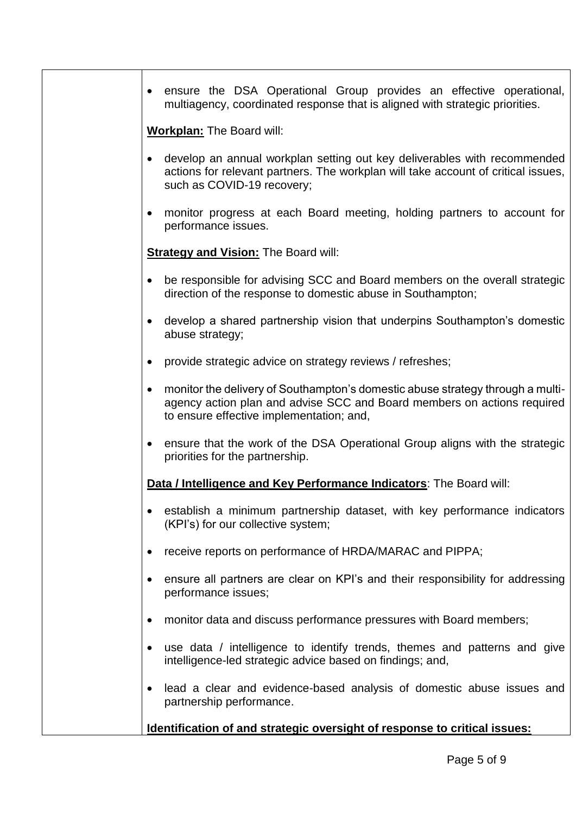ensure the DSA Operational Group provides an effective operational, multiagency, coordinated response that is aligned with strategic priorities.

**Workplan:** The Board will:

- develop an annual workplan setting out key deliverables with recommended actions for relevant partners. The workplan will take account of critical issues, such as COVID-19 recovery;
- monitor progress at each Board meeting, holding partners to account for performance issues.

**Strategy and Vision:** The Board will:

- be responsible for advising SCC and Board members on the overall strategic direction of the response to domestic abuse in Southampton;
- develop a shared partnership vision that underpins Southampton's domestic abuse strategy;
- provide strategic advice on strategy reviews / refreshes;
- monitor the delivery of Southampton's domestic abuse strategy through a multiagency action plan and advise SCC and Board members on actions required to ensure effective implementation; and,
- ensure that the work of the DSA Operational Group aligns with the strategic priorities for the partnership.

**Data / Intelligence and Key Performance Indicators**: The Board will:

- establish a minimum partnership dataset, with key performance indicators (KPI's) for our collective system;
- receive reports on performance of HRDA/MARAC and PIPPA;
- ensure all partners are clear on KPI's and their responsibility for addressing performance issues;
- monitor data and discuss performance pressures with Board members;
- use data / intelligence to identify trends, themes and patterns and give intelligence-led strategic advice based on findings; and,
- lead a clear and evidence-based analysis of domestic abuse issues and partnership performance.

**Identification of and strategic oversight of response to critical issues:**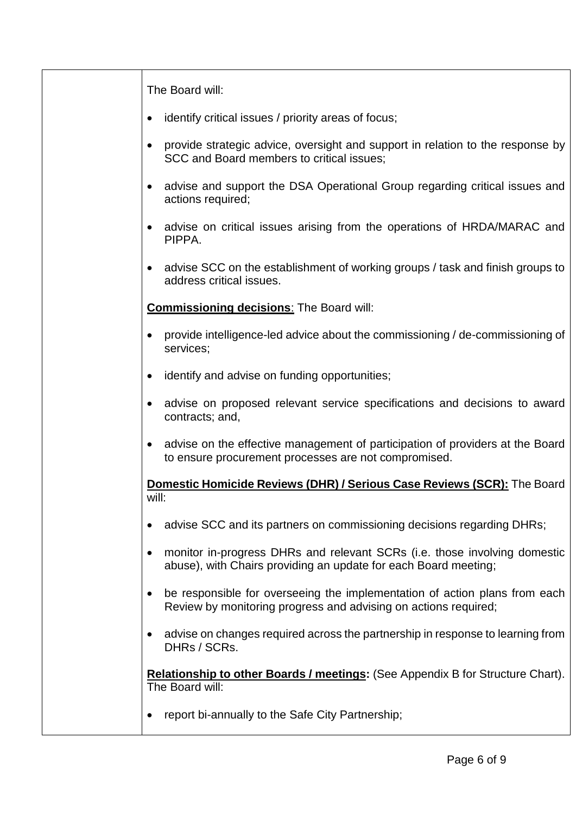| The Board will:                                                                                                                                            |
|------------------------------------------------------------------------------------------------------------------------------------------------------------|
| identify critical issues / priority areas of focus;                                                                                                        |
| provide strategic advice, oversight and support in relation to the response by<br>SCC and Board members to critical issues;                                |
| advise and support the DSA Operational Group regarding critical issues and<br>actions required;                                                            |
| advise on critical issues arising from the operations of HRDA/MARAC and<br>PIPPA.                                                                          |
| advise SCC on the establishment of working groups / task and finish groups to<br>address critical issues.                                                  |
| <b>Commissioning decisions:</b> The Board will:                                                                                                            |
| provide intelligence-led advice about the commissioning / de-commissioning of<br>services;                                                                 |
| identify and advise on funding opportunities;                                                                                                              |
| advise on proposed relevant service specifications and decisions to award<br>contracts; and,                                                               |
| advise on the effective management of participation of providers at the Board<br>to ensure procurement processes are not compromised.                      |
| <b>Domestic Homicide Reviews (DHR) / Serious Case Reviews (SCR):</b> The Board<br>will:                                                                    |
| advise SCC and its partners on commissioning decisions regarding DHRs;<br>$\bullet$                                                                        |
| monitor in-progress DHRs and relevant SCRs (i.e. those involving domestic<br>abuse), with Chairs providing an update for each Board meeting;               |
| be responsible for overseeing the implementation of action plans from each<br>$\bullet$<br>Review by monitoring progress and advising on actions required; |
| advise on changes required across the partnership in response to learning from<br>$\bullet$<br>DHRs / SCRs.                                                |
| Relationship to other Boards / meetings: (See Appendix B for Structure Chart).<br>The Board will:                                                          |
| report bi-annually to the Safe City Partnership;                                                                                                           |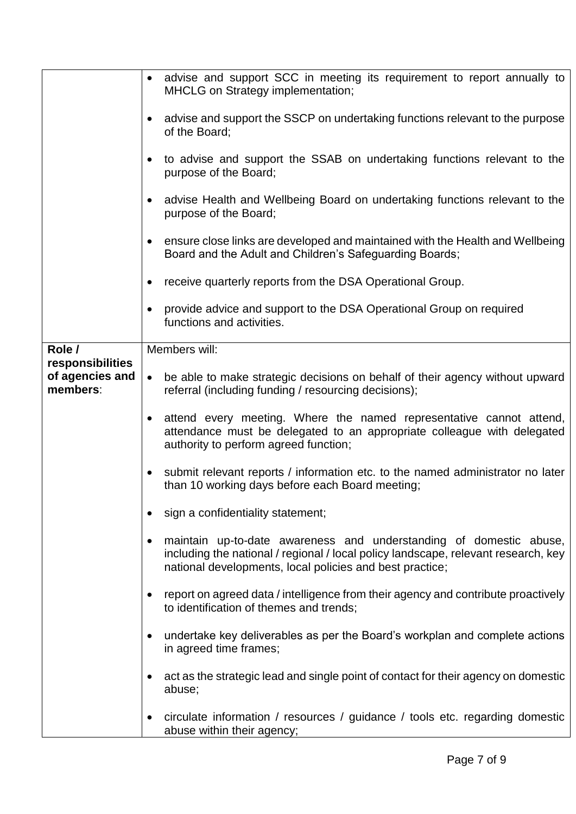|                                                 | advise and support SCC in meeting its requirement to report annually to<br>$\bullet$<br>MHCLG on Strategy implementation;                                                                                            |
|-------------------------------------------------|----------------------------------------------------------------------------------------------------------------------------------------------------------------------------------------------------------------------|
|                                                 | advise and support the SSCP on undertaking functions relevant to the purpose<br>of the Board;                                                                                                                        |
|                                                 | to advise and support the SSAB on undertaking functions relevant to the<br>$\bullet$<br>purpose of the Board;                                                                                                        |
|                                                 | advise Health and Wellbeing Board on undertaking functions relevant to the<br>$\bullet$<br>purpose of the Board;                                                                                                     |
|                                                 | ensure close links are developed and maintained with the Health and Wellbeing<br>$\bullet$<br>Board and the Adult and Children's Safeguarding Boards;                                                                |
|                                                 | receive quarterly reports from the DSA Operational Group.<br>$\bullet$                                                                                                                                               |
|                                                 | provide advice and support to the DSA Operational Group on required<br>$\bullet$<br>functions and activities.                                                                                                        |
| Role /                                          | Members will:                                                                                                                                                                                                        |
| responsibilities<br>of agencies and<br>members: | be able to make strategic decisions on behalf of their agency without upward<br>$\bullet$<br>referral (including funding / resourcing decisions);                                                                    |
|                                                 | attend every meeting. Where the named representative cannot attend,<br>$\bullet$<br>attendance must be delegated to an appropriate colleague with delegated<br>authority to perform agreed function;                 |
|                                                 | submit relevant reports / information etc. to the named administrator no later<br>$\bullet$<br>than 10 working days before each Board meeting;                                                                       |
|                                                 | sign a confidentiality statement;                                                                                                                                                                                    |
|                                                 | maintain up-to-date awareness and understanding of domestic abuse,<br>including the national / regional / local policy landscape, relevant research, key<br>national developments, local policies and best practice; |
|                                                 | report on agreed data / intelligence from their agency and contribute proactively<br>to identification of themes and trends;                                                                                         |
|                                                 | undertake key deliverables as per the Board's workplan and complete actions<br>$\bullet$<br>in agreed time frames;                                                                                                   |
|                                                 | act as the strategic lead and single point of contact for their agency on domestic<br>$\bullet$<br>abuse;                                                                                                            |
|                                                 | circulate information / resources / guidance / tools etc. regarding domestic<br>$\bullet$<br>abuse within their agency;                                                                                              |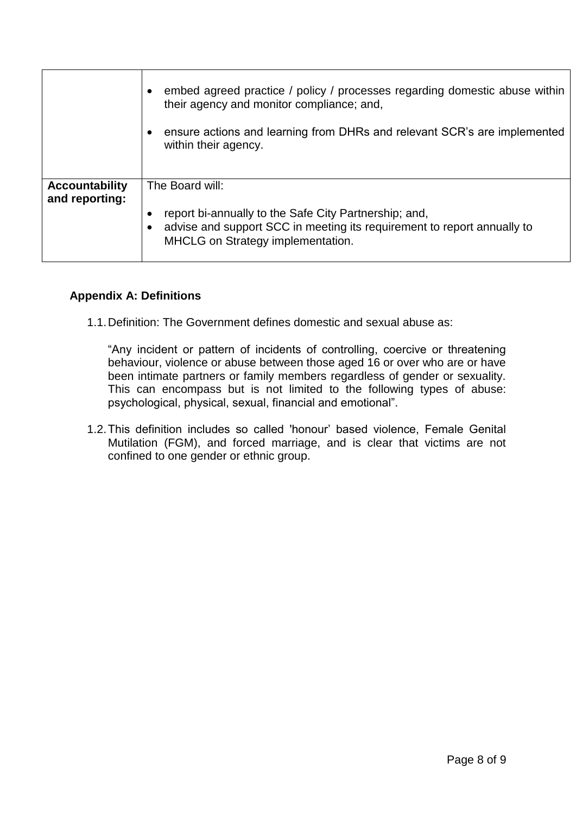|                       | embed agreed practice / policy / processes regarding domestic abuse within<br>their agency and monitor compliance; and,                                               |
|-----------------------|-----------------------------------------------------------------------------------------------------------------------------------------------------------------------|
|                       | ensure actions and learning from DHRs and relevant SCR's are implemented<br>within their agency.                                                                      |
| <b>Accountability</b> | The Board will:                                                                                                                                                       |
| and reporting:        | report bi-annually to the Safe City Partnership; and,<br>advise and support SCC in meeting its requirement to report annually to<br>MHCLG on Strategy implementation. |

## **Appendix A: Definitions**

1.1.Definition: The Government defines domestic and sexual abuse as:

"Any incident or pattern of incidents of controlling, coercive or threatening behaviour, violence or abuse between those aged 16 or over who are or have been intimate partners or family members regardless of gender or sexuality. This can encompass but is not limited to the following types of abuse: psychological, physical, sexual, financial and emotional".

1.2.This definition includes so called 'honour' based violence, Female Genital Mutilation (FGM), and forced marriage, and is clear that victims are not confined to one gender or ethnic group.